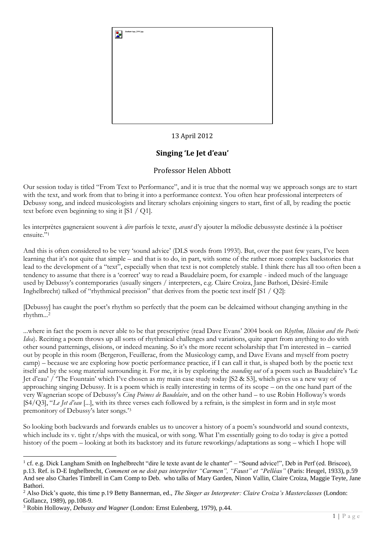

## 13 April 2012

## **Singing 'Le Jet d'eau'**

## Professor Helen Abbott

Our session today is titled "From Text to Performance", and it is true that the normal way we approach songs are to start with the text, and work from that to bring it into a performance context. You often hear professional interpreters of Debussy song, and indeed musicologists and literary scholars enjoining singers to start, first of all, by reading the poetic text before even beginning to sing it [S1 / Q1].

les interprètes gagneraient souvent à *dire* parfois le texte, *avant* d'y ajouter la mélodie debussyste destinée à la poétiser ensuite."<sup>1</sup>

And this is often considered to be very 'sound advice' (DLS words from 1993!). But, over the past few years, I've been learning that it's not quite that simple – and that is to do, in part, with some of the rather more complex backstories that lead to the development of a "text", especially when that text is not completely stable. I think there has all too often been a tendency to assume that there is a 'correct' way to read a Baudelaire poem, for example - indeed much of the language used by Debussy's contemporaries (usually singers / interpreters, e.g. Claire Croiza, Jane Bathori, Désiré-Emile Inghelbrecht) talked of "rhythmical precision" that derives from the poetic text itself [S1 / Q2]:

[Debussy] has caught the poet's rhythm so perfectly that the poem can be delcaimed without changing anything in the rhythm...<sup>2</sup>

...where in fact the poem is never able to be that prescriptive (read Dave Evans' 2004 book on *Rhythm, Illusion and the Poetic Idea*). Reciting a poem throws up all sorts of rhythmical challenges and variations, quite apart from anything to do with other sound patternings, elisions, or indeed meaning. So it's the more recent scholarship that I'm interested in – carried out by people in this room (Bergeron, Feuillerac, from the Musicology camp, and Dave Evans and myself from poetry camp) – because we are exploring how poetic performance practice, if I can call it that, is shaped both by the poetic text itself and by the song material surrounding it. For me, it is by exploring the *sounding out* of a poem such as Baudelaire's 'Le Jet d'eau' / 'The Fountain' which I've chosen as my main case study today [S2 & S3], which gives us a new way of approaching singing Debussy. It is a poem which is really interesting in terms of its scope – on the one hand part of the very Wagnerian scope of Debussy's *Cinq Poèmes de Baudelaire*, and on the other hand – to use Robin Holloway's words [S4/Q3], "*Le Jet d'eau* [...], with its three verses each followed by a refrain, is the simplest in form and in style most premonitory of Debussy's later songs.'<sup>3</sup>

So looking both backwards and forwards enables us to uncover a history of a poem's soundworld and sound contexts, which include its v. tight r/shps with the musical, or with song. What I'm essentially going to do today is give a potted history of the poem – looking at both its backstory and its future reworkings/adaptations as song – which I hope will

<sup>&</sup>lt;sup>1</sup> cf. e.g. Dick Langham Smith on Inghelbrecht "dire le texte avant de le chanter" – "Sound advice!", Deb in Perf (ed. Briscoe), p.13. Ref. is D-E Inghelbrecht, *Comment on ne doit pas interpréter "Carmen", "Faust" et "Pelléas"* (Paris: Heugel, 1933), p.59 And see also Charles Timbrell in Cam Comp to Deb. who talks of Mary Garden, Ninon Vallin, Claire Croiza, Maggie Teyte, Jane Bathori.

<sup>2</sup> Also Dick's quote, this time p.19 Betty Bannerman, ed., *The Singer as Interpreter: Claire Croiza's Masterclasses* (London: Gollancz, 1989), pp.108-9.

<sup>3</sup> Robin Holloway, *Debussy and Wagner* (London: Ernst Eulenberg, 1979), p.44.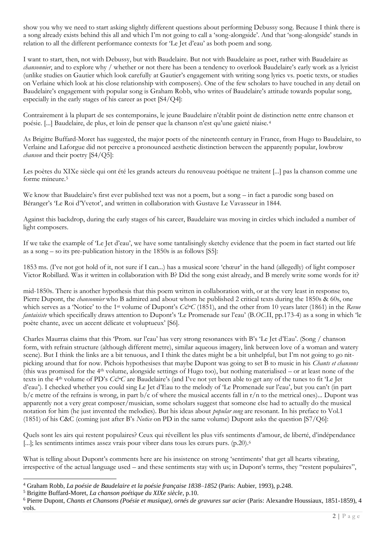show you why we need to start asking slightly different questions about performing Debussy song. Because I think there is a song already exists behind this all and which I'm not going to call a 'song-alongside'. And that 'song-alongside' stands in relation to all the different performance contexts for 'Le Jet d'eau' as both poem and song.

I want to start, then, not with Debussy, but with Baudelaire. But not with Baudelaire as poet, rather with Baudelaire as *chansonnier*, and to explore why / whether or not there has been a tendency to overlook Baudelaire's early work as a lyricist (unlike studies on Gautier which look carefully at Gautier's engagement with writing song lyrics vs. poetic texts, or studies on Verlaine which look at his close relationship with composers). One of the few scholars to have touched in any detail on Baudelaire's engagement with popular song is Graham Robb, who writes of Baudelaire's attitude towards popular song, especially in the early stages of his career as poet [S4/Q4]:

Contrairement à la plupart de ses contemporains, le jeune Baudelaire n'établit point de distinction nette entre chanson et poésie. [...] Baudelaire, de plus, et loin de penser que la chanson n'est qu'une gaieté niaise. <sup>4</sup>

As Brigitte Buffard-Moret has suggested, the major poets of the nineteenth century in France, from Hugo to Baudelaire, to Verlaine and Laforgue did not perceive a pronounced aesthetic distinction between the apparently popular, lowbrow *chanson* and their poetry [S4/Q5]:

Les poètes du XIXe siècle qui ont été les grands acteurs du renouveau poétique ne traitent [...] pas la chanson comme une forme mineure.<sup>5</sup>

We know that Baudelaire's first ever published text was not a poem, but a song – in fact a parodic song based on Béranger's 'Le Roi d'Yvetot', and written in collaboration with Gustave Le Vavasseur in 1844.

Against this backdrop, during the early stages of his career, Baudelaire was moving in circles which included a number of light composers.

If we take the example of 'Le Jet d'eau', we have some tantalisingly sketchy evidence that the poem in fact started out life as a song – so its pre-publication history in the 1850s is as follows [S5]:

1853 ms. (I've not got hold of it, not sure if I can...) has a musical score 'chœur' in the hand (allegedly) of light composer Victor Robillard. Was it written in collaboration with B? Did the song exist already, and B merely write some words for it?

mid-1850s. There is another hypothesis that this poem written in collaboration with, or at the very least in response to, Pierre Dupont, the *chansonnier* who B admired and about whom he published 2 critical texts during the 1850s & 60s, one which serves as a 'Notice' to the 1<sup>st</sup> volume of Dupont's *C&C* (1851), and the other from 10 years later (1861) in the *Revue fantaisiste* which specifically draws attention to Dupont's 'Le Promenade sur l'eau' (B.*OC*.II, pp.173-4) as a song in which 'le poète chante, avec un accent délicate et voluptueux' [S6].

Charles Maurras claims that this 'Prom. sur l'eau' has very strong resonances with B's 'Le Jet d'Eau'. (Song / chanson form, with refrain structure (although different metre), similar aqueous imagery, link between love of a woman and watery scene). But I think the links are a bit tenuous, and I think the dates might be a bit unhelpful, but I'm not going to go nitpicking around that for now. Pichois hypothesises that maybe Dupont was going to set B to music in his *Chants et chansons* (this was promised for the  $4<sup>th</sup>$  volume, alongside settings of Hugo too), but nothing materialised – or at least none of the texts in the 4<sup>th</sup> volume of PD's *C&C* are Baudelaire's (and I've not yet been able to get any of the tunes to fit 'Le Jet d'eau'). I checked whether you could sing Le Jet d'Eau to the melody of 'Le Promenade sur l'eau', but you can't (in part  $b/c$  metre of the refrains is wrong, in part  $b/c$  of where the musical accents fall in r/n to the metrical ones)... Dupont was apparently not a very great composer/musician, some scholars suggest that someone else had to actually do the musical notation for him (he just invented the melodies). But his ideas about *popular song* are resonant. In his preface to Vol.1 (1851) of his C&C (coming just after B's *Notice* on PD in the same volume) Dupont asks the question [S7/Q6]:

Quels sont les airs qui restent populaires? Ceux qui réveillent les plus vifs sentiments d'amour, de liberté, d'indépendance [...]; les sentiments intimes assez vrais pour vibrer dans tous les cœurs purs. (p.20).<sup>6</sup>

What is telling about Dupont's comments here are his insistence on strong 'sentiments' that get all hearts vibrating, irrespective of the actual language used – and these sentiments stay with us; in Dupont's terms, they "restent populaires",

<sup>4</sup> Graham Robb, *La poésie de Baudelaire et la poésie française 1838–1852* (Paris: Aubier, 1993), p.248.

<sup>5</sup> Brigitte Buffard-Moret, *La chanson poétique du XIXe siècle*, p.10.

<sup>6</sup> Pierre Dupont, *Chants et Chansons (Poésie et musique), ornés de gravures sur acier* (Paris: Alexandre Houssiaux, 1851-1859), 4 vols.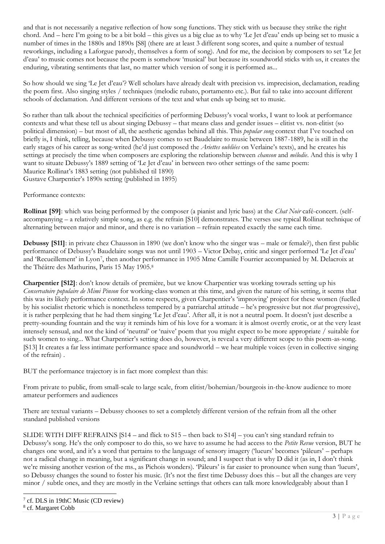and that is not necessarily a negative reflection of how song functions. They stick with us because they strike the right chord. And – here I'm going to be a bit bold – this gives us a big clue as to why 'Le Jet d'eau' ends up being set to music a number of times in the 1880s and 1890s [S8] (there are at least 3 different song scores, and quite a number of textual reworkings, including a Laforgue parody, themselves a form of song). And for me, the decision by composers to set 'Le Jet d'eau' to music comes not because the poem is somehow 'musical' but because its soundworld sticks with us, it creates the enduring, vibrating sentiments that last, no matter which version of song it is performed as...

So how should we sing 'Le Jet d'eau'? Well scholars have already dealt with precision vs. imprecision, declamation, reading the poem first. Also singing styles / techniques (melodic rubato, portamento etc.). But fail to take into account different schools of declamation. And different versions of the text and what ends up being set to music.

So rather than talk about the technical specificities of performing Debussy's vocal works, I want to look at performance contexts and what these tell us about singing Debussy – that means class and gender issues – elitist vs. non-elitist (so political dimension) – but most of all, the aesthetic agendas behind all this. This *popular song* context that I've touched on briefly is, I think, telling, because when Debussy comes to set Baudelaire to music between 1887-1889, he is still in the early stages of his career as song-writed (he'd just composed the *Ariettes oubliées* on Verlaine's texts), and he creates his settings at precisely the time when composers are exploring the relationship between *chanson* and *mélodie*. And this is why I want to situate Debussy's 1889 setting of 'Le Jet d'eau' in between two other settings of the same poem: Maurice Rollinat's 1883 setting (not published til 1890) Gustave Charpentier's 1890s setting (published in 1895)

Performance contexts:

**Rollinat [S9]**: which was being performed by the composer (a pianist and lyric bass) at the *Chat Noir* café-concert. (selfaccompanying – a relatively simple song, as e.g. the refrain [S10] demonstrates. The verses use typical Rollinat technique of alternating between major and minor, and there is no variation – refrain repeated exactly the same each time.

**Debussy [S11]**: in private chez Chausson in 1890 (we don't know who the singer was – male or female?), then first public performance of Debussy's Baudelaire songs was not until 1903 – Victor Debay, critic and singer performed 'Le Jet d'eau' and 'Recueillement' in Lyon<sup>7</sup>, then another performance in 1905 Mme Camille Fourrier accompanied by M. Delacroix at the Théâtre des Mathurins, Paris 15 May 1905.<sup>8</sup>

**Charpentier [S12]**: don't know details of première, but we know Charpentier was working towrads setting up his *Conservatoire populaire de Mimi Pinson* for working-class women at this time, and given the nature of his setting, it seems that this was its likely performance context. In some respects, given Charpentier's 'improving' project for these women (fuelled by his socialist rhetoric which is nonetheless tempered by a patriarchal attitude – he's progressive but not *that* progressive), it is rather perplexing that he had them singing 'Le Jet d'eau'. After all, it is not a neutral poem. It doesn't just describe a pretty-sounding fountain and the way it reminds him of his love for a woman: it is almost overtly erotic, or at the very least intensely sensual, and not the kind of 'neutral' or 'naive' poem that you might expect to be more appropriate / suitable for such women to sing... What Charpentier's setting does do, however, is reveal a very different scope to this poem-as-song. [S13] It creates a far less intimate performance space and soundworld – we hear multiple voices (even in collective singing of the refrain) .

BUT the performance trajectory is in fact more complext than this:

From private to public, from small-scale to large scale, from elitist/bohemian/bourgeois in-the-know audience to more amateur performers and audiences

There are textual variants – Debussy chooses to set a completely different version of the refrain from all the other standard published versions

SLIDE WITH DIFF REFRAINS [S14 – and flick to S15 – then back to S14] – you can't sing standard refrain to Debussy's song. He's the only composer to do this, so we have to assume he had access to the *Petite Revue* version, BUT he changes one word, and it's a word that pertains to the language of sensory imagery ('lueurs' becomes 'pâleurs' – perhaps not a radical change in meaning, but a significant change in sound; and I suspect that is why D did it (as in, I don't think we're missing another vesrion of the ms., as Pichois wonders). 'Pâleurs' is far easier to pronounce when sung than 'lueurs', so Debussy changes the sound to foster his music. (It's not the first time Debussy does this – but all the changes are very minor / subtle ones, and they are mostly in the Verlaine settings that others can talk more knowledgeably about than I

<sup>7</sup> cf. DLS in 19thC Music (CD review) 8 cf. Margaret Cobb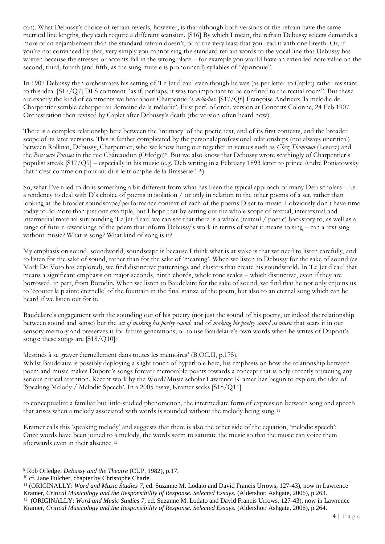can). What Debussy's choice of refrain reveals, however, is that although both versions of the refrain have the same metrical line lengths, they each require a different scansion. [S16] By which I mean, the refrain Debussy selects demands a more of an enjambement than the standard refrain doesn't, or at the very least that you read it with one breath. Or, if you're not convinced by that, very simply you cannot sing the standard refrain words to the vocal line that Debussy has written because the stresses or accents fall in the wrong place – for example you would have an extended note value on the second, third, fourth (and fifth, as the sung mute e is pronounced) syllables of "ép**an**ouie".

In 1907 Debussy then orchestrates his setting of 'Le Jet d'eau' even though he was (as per letter to Caplet) rather resistant to this idea. [S17/Q7] DLS comment "as if, perhaps, it was too important to be confined to the recital room". But these are exactly the kind of comments we hear about Charpentier's *mélodies*: [S17/Q8] Françoise Andrieux 'la mélodie de Charpentier semble échapper au domaine de la mélodie'. First perf. of orch. version at Concerts Colonne, 24 Feb 1907. Orchestration then revised by Caplet after Debussy's death (the version often heard now).

There is a complex relationshp here between the 'intimacy' of the poetic text, and of its first contexts, and the broader scope of its later versions. This is further complicated by the personal/professional relationships (not always uncritical) between Rollinat, Debussy, Charpentier, who we know hung out together in venues such as *Chez Thommen* (Lesure) and the *Brasserie Pousset* in the rue Châteaudun (Orledge)<sup>9</sup>. But we also know that Debussy wrote scathingly of Charpentier's populist streak [S17/Q9] – especially in his music (e.g. Deb writing in a February 1893 letter to prince André Poniatowsky that "c'est comme on pourrait dire le triomphe de la Brasserie".10)

So, what I've tried to do is something a bit different from what has been the typical approach of many Deb scholars – i.e. a tendency to deal with D's choice of poems in isolation / or only in relation to the other poems of a set, rather than looking at the broader soundscape/performance context of each of the poems D set to music. I obviously don't have time today to do more than just one example, but I hope that by setting out the whole scope of textual, intertextual and intermedial material surrounding 'Le Jet d'eau' we can see that there is a whole (textaul / poetic) backstory to, as well as a range of future reworkings of the poem that inform Debussy's work in terms of what it means to sing – can a text sing without music? What is song? What kind of song is it?

My emphasis on sound, soundworld, soundscape is because I think what is at stake is that we need to listen carefully, and to listen for the sake of sound, rather than for the sake of 'meaning'. When we listen to Debussy for the sake of sound (as Mark De Voto has explored), we find distinctive patternings and clusters that create his soundworld. In 'Le Jet d'eau' that means a significant emphasis on major seconds, ninth chords, whole tone scales – which distinctive, even if they are borrowed, in part, from Borodin. When we listen to Baudelaire for the sake of sound, we find that he not only enjoins us to 'écouter la plainte éternelle' of the fountain in the final stanza of the poem, but also to an eternal song which can be heard if we listen out for it.

Baudelaire's engagement with the sounding out of his poetry (not just the sound of his poetry, or indeed the relationship between sound and sense) but the *act of making his poetry sound*, and of *making his poetry sound as music* that sears it in our sensory memory and preserves it for future generations, or to use Baudelaire's own words when he writes of Dupont's songs: these songs are [S18/Q10]:

'destinés à se graver éternellement dans toutes les mémoires' (B.OC.II, p.175).

Whilst Baudelaire is possibly deploying a slight touch of hyperbole here, his emphasis on how the relationship between poem and music makes Dupont's songs forever memorable points towards a concept that is only recently attracting any serious critical attention. Recent work by the Word/Music scholar Lawrence Kramer has begun to explore the idea of 'Speaking Melody / Melodic Speech'. In a 2005 essay, Kramer seeks [S18/Q11]

to conceptualize a familiar but little-studied phenomenon, the intermediate form of expression between song and speech that arises when a melody associated with words is sounded without the melody being sung.<sup>11</sup>

Kramer calls this 'speaking melody' and suggests that there is also the other side of the equation, 'melodic speech': Once words have been joined to a melody, the words seem to saturate the music so that the music can voice them afterwards even in their absence.<sup>12</sup>

<sup>9</sup> Rob Orledge, *Debussy and the Theatre* (CUP, 1982), p.17.

<sup>&</sup>lt;sup>10</sup> cf. Jane Fulcher, chapter by Christophe Charle

<sup>&</sup>lt;sup>11</sup> (ORIGINALLY: *Word and Music Studies 7*, ed. Suzanne M. Lodato and David Francis Urrows, 127-43), now in Lawrence Kramer, *Critical Musicology and the Responsibility of Response. Selected Essays.* (Aldershot: Ashgate, 2006), p.263. <sup>12</sup> (ORIGINALLY: *Word and Music Studies 7*, ed. Suzanne M. Lodato and David Francis Urrows, 127-43), now in Lawrence Kramer, *Critical Musicology and the Responsibility of Response. Selected Essays.* (Aldershot: Ashgate, 2006), p.264.